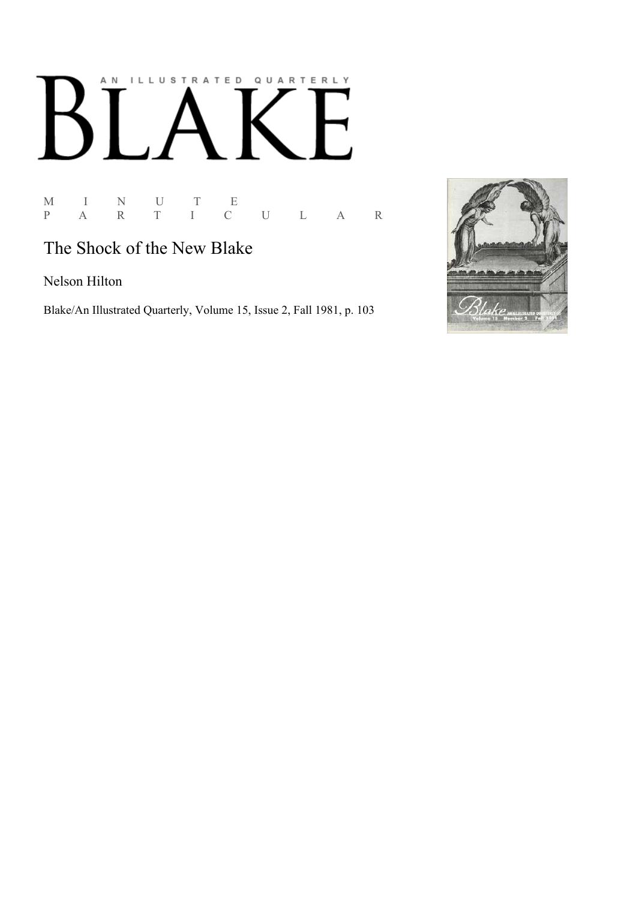# AN ILLUSTRATED QUARTERLY  $\mathbb{R}^n$ Ӄ

M I N U T E M I N U T E<br>P A R T I C U L A R

# The Shock of the New Blake

Nelson Hilton

Blake/An Illustrated Quarterly, Volume 15, Issue 2, Fall 1981, p. 103